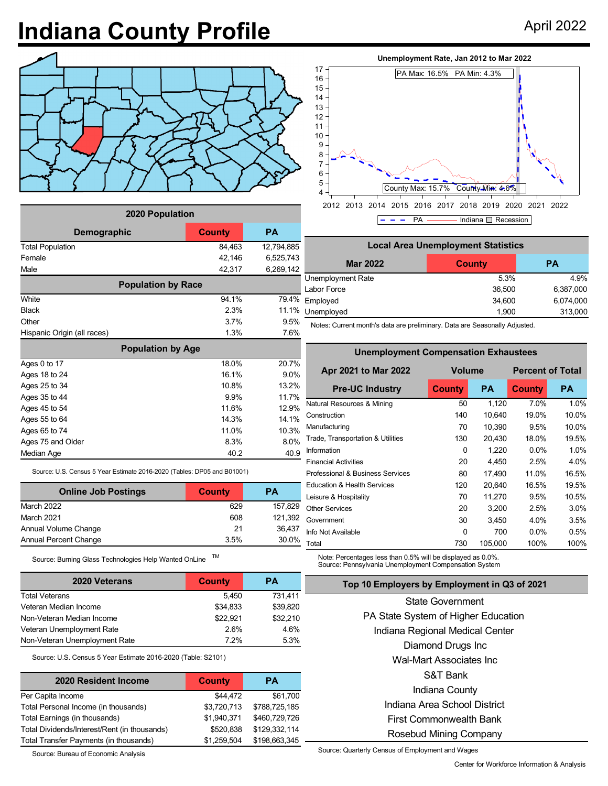## **Indiana County Profile** April 2022



| 2020 Population             |        |            |  |  |  |  |  |
|-----------------------------|--------|------------|--|--|--|--|--|
| <b>Demographic</b>          | County | <b>PA</b>  |  |  |  |  |  |
| <b>Total Population</b>     | 84,463 | 12,794,885 |  |  |  |  |  |
| Female                      | 42,146 | 6,525,743  |  |  |  |  |  |
| Male                        | 42,317 | 6,269,142  |  |  |  |  |  |
| <b>Population by Race</b>   |        |            |  |  |  |  |  |
| White                       | 94.1%  | 79.4%      |  |  |  |  |  |
| <b>Black</b>                | 2.3%   | 11.1%      |  |  |  |  |  |
| Other                       | 3.7%   | 9.5%       |  |  |  |  |  |
| Hispanic Origin (all races) | 1.3%   | 7.6%       |  |  |  |  |  |
| <b>Population by Age</b>    |        |            |  |  |  |  |  |
| Ages 0 to 17                | 18.0%  | 20.7%      |  |  |  |  |  |
| Ages 18 to 24               | 16.1%  | 9.0%       |  |  |  |  |  |
| Ages 25 to 34               | 10.8%  | 13.2%      |  |  |  |  |  |
| Ages 35 to 44               | 9.9%   | 11.7%      |  |  |  |  |  |
| Ages 45 to 54               | 11.6%  | 12.9%      |  |  |  |  |  |
| Ages 55 to 64               | 14.3%  | 14.1%      |  |  |  |  |  |
| Ages 65 to 74               | 11.0%  | 10.3%      |  |  |  |  |  |
| Ages 75 and Older           | 8.3%   | 8.0%       |  |  |  |  |  |
| Median Age                  | 40.2   | 40.9       |  |  |  |  |  |

Source: U.S. Census 5 Year Estimate 2016-2020 (Tables: DP05 and B01001)

| <b>Online Job Postings</b> | <b>County</b> | РA      |  |  |
|----------------------------|---------------|---------|--|--|
| March 2022                 | 629           | 157.829 |  |  |
| March 2021                 | 608           | 121.392 |  |  |
| Annual Volume Change       | 21            | 36,437  |  |  |
| Annual Percent Change      | 3.5%          | 30.0%   |  |  |

Source: Burning Glass Technologies Help Wanted OnLine TM

| <b>2020 Veterans</b>          | County   | <b>PA</b> |
|-------------------------------|----------|-----------|
| <b>Total Veterans</b>         | 5.450    | 731,411   |
| Veteran Median Income         | \$34.833 | \$39,820  |
| Non-Veteran Median Income     | \$22.921 | \$32,210  |
| Veteran Unemployment Rate     | 2.6%     | 4.6%      |
| Non-Veteran Unemployment Rate | 72%      | 5.3%      |

Source: U.S. Census 5 Year Estimate 2016-2020 (Table: S2101)

| 2020 Resident Income                         | <b>County</b> | <b>PA</b>     |
|----------------------------------------------|---------------|---------------|
| Per Capita Income                            | \$44,472      | \$61,700      |
| Total Personal Income (in thousands)         | \$3,720,713   | \$788,725,185 |
| Total Earnings (in thousands)                | \$1,940,371   | \$460,729,726 |
| Total Dividends/Interest/Rent (in thousands) | \$520,838     | \$129,332,114 |
| Total Transfer Payments (in thousands)       | \$1,259,504   | \$198,663,345 |

Source: Bureau of Economic Analysis



 $P - - P$ A  $\longrightarrow$  Indiana  $\Box$  Recession

| <b>Local Area Unemployment Statistics</b> |        |           |  |  |  |  |
|-------------------------------------------|--------|-----------|--|--|--|--|
| <b>Mar 2022</b>                           | County | <b>PA</b> |  |  |  |  |
| Unemployment Rate                         | 5.3%   | 4.9%      |  |  |  |  |
| Labor Force                               | 36,500 | 6,387,000 |  |  |  |  |
| Employed                                  | 34,600 | 6,074,000 |  |  |  |  |
| Unemployed                                | 1,900  | 313,000   |  |  |  |  |

Notes: Current month's data are preliminary. Data are Seasonally Adjusted.

**Unemployment Compensation Exhaustees**

| Unemployment Compensation Exnaustees   |               |           |                         |           |  |  |  |  |
|----------------------------------------|---------------|-----------|-------------------------|-----------|--|--|--|--|
| Apr 2021 to Mar 2022                   | <b>Volume</b> |           | <b>Percent of Total</b> |           |  |  |  |  |
| <b>Pre-UC Industry</b>                 | <b>County</b> | <b>PA</b> | <b>County</b>           | <b>PA</b> |  |  |  |  |
| Natural Resources & Mining             | 50            | 1.120     | 7.0%                    | 1.0%      |  |  |  |  |
| Construction                           | 140           | 10,640    | 19.0%                   | 10.0%     |  |  |  |  |
| Manufacturing                          | 70            | 10,390    | 9.5%                    | 10.0%     |  |  |  |  |
| Trade, Transportation & Utilities      | 130           | 20,430    | 18.0%                   | 19.5%     |  |  |  |  |
| Information                            | 0             | 1,220     | $0.0\%$                 | 1.0%      |  |  |  |  |
| <b>Financial Activities</b>            | 20            | 4,450     | 2.5%                    | 4.0%      |  |  |  |  |
| Professional & Business Services       | 80            | 17,490    | 11.0%                   | 16.5%     |  |  |  |  |
| <b>Education &amp; Health Services</b> | 120           | 20,640    | 16.5%                   | 19.5%     |  |  |  |  |
| Leisure & Hospitality                  | 70            | 11,270    | 9.5%                    | 10.5%     |  |  |  |  |
| <b>Other Services</b>                  | 20            | 3,200     | 2.5%                    | 3.0%      |  |  |  |  |
| Government                             | 30            | 3,450     | 4.0%                    | 3.5%      |  |  |  |  |
| Info Not Available                     | 0             | 700       | $0.0\%$                 | 0.5%      |  |  |  |  |
| Total                                  | 730           | 105,000   | 100%                    | 100%      |  |  |  |  |

Note: Percentages less than 0.5% will be displayed as 0.0%. Source: Pennsylvania Unemployment Compensation System

## **Top 10 Employers by Employment in Q3 of 2021**

State Government PA State System of Higher Education Indiana Regional Medical Center Diamond Drugs Inc Wal-Mart Associates Inc S&T Bank Indiana County Indiana Area School District First Commonwealth Bank Rosebud Mining Company

Source: Quarterly Census of Employment and Wages